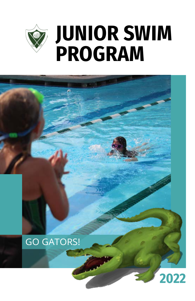



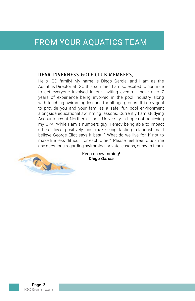## FROM YOUR AQUATICS TEAM

#### DEAR INVERNESS GOLF CLUB MEMBERS,

Hello IGC family! My name is Diego Garcia, and I am as the Aquatics Director at IGC this summer. I am so excited to continue to get everyone involved in our inviting events. I have over 7 years of experience being involved in the pool industry along with teaching swimming lessons for all age groups. It is my goal to provide you and your families a safe, fun pool environment alongside educational swimming lessons. Currently I am studying Accountancy at Northern Illinois University in hopes of achieving my CPA. While I am a numbers guy, I enjoy being able to impact others' lives positively and make long lasting relationships. I believe George Eliot says it best, " What do we live for, if not to make life less difficult for each other." Please feel free to ask me any questions regarding swimming, private lessons, or swim team.



Keep on swimming! **Diego Garcia**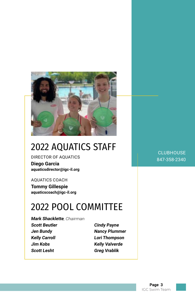

# 2022 AQUATICS STAFF

#### DIRECTOR OF AQUATICS

**Diego Garcia aquaticsdirector@igc-il.org**

#### AQUATICS COACH

**Tommy Gillespie aquaticscoach@igc-il.org**

# 2022 POOL COMMITTEE

**Mark Shacklette**, Chairman **Scott Beutler Jen Bundy Kelly Carroll Jim Kobs Scott Lesht**

**Cindy Payne Nancy Plummer Lori Thompson Kelly Valverde Greg Vrablik**

**CLUBHOUSE** 847-358-2340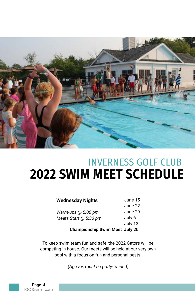

# INVERNESS GOLF CLUB **2022 SWIM MEET SCHEDULE**

#### **Wednesday Nights**

Warm-ups @ 5:00 pm Meets Start @ 5:30 pm June 15 June 22 June 29 July 6 July 13

**Championship Swim Meet July 20**

To keep swim team fun and safe, the 2022 Gators will be competing in house. Our meets will be held at our very own pool with a focus on fun and personal bests!

(Age 5+, must be potty-trained)

**Page 4** IGC Swim Team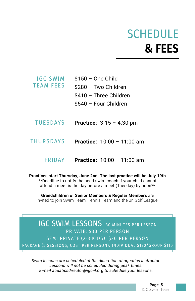# **SCHEDULE & FEES**

| IGC SWIM         | $$150 - One Child$     |
|------------------|------------------------|
| <b>TEAM FEES</b> | \$280 - Two Children   |
|                  | \$410 - Three Children |
|                  | \$540 - Four Children  |
|                  |                        |

- **Practice:** 3:15 4:30 pm TUESDAYS
- **Practice:** 10:00 11:00 am THURSDAYS
	- FRIDAY **Practice:** 10:00 11:00 am

**Practices start Thursday, June 2nd. The last practice will be July 19th** \*\*Deadline to notify the head swim coach if your child cannot attend a meet is the day before a meet (Tuesday) by noon\*\*

**Grandchildren of Senior Members & Regular Members** are invited to join Swim Team, Tennis Team and the Jr. Golf League.

**IGC SWIM LESSONS** 30 MINUTES PER LESSON PRIVATE: \$30 PER PERSON SEMI PRIVATE (2-3 KIDS): \$20 PER PERSON PACKAGE (5 SESSIONS, COST PER PERSON): INDIVIDUAL \$120/GROUP \$110

*Swim lessons are scheduled at the discretion of aquatics instructor. Lessons will not be scheduled during peak times. E-mail aquaticsdirector@igc-il.org to schedule your lessons.*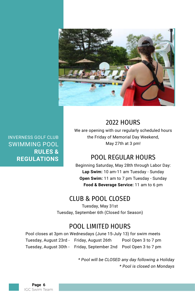

INVERNESS GOLF CLUB SWIMMING POOL **RULES & REGULATIONS** 

#### 2022 HOURS

We are opening with our regularly scheduled hours the Friday of Memorial Day Weekend, May 27th at 3 pm!

## POOL REGULAR HOURS

Beginning Saturday, May 28th through Labor Day: **Lap Swim:** 10 am-11 am Tuesday - Sunday **Open Swim:** 11 am to 7 pm Tuesday - Sunday **Food & Beverage Service:** 11 am to 6 pm

## CLUB & POOL CLOSED

Tuesday, May 31st Tuesday, September 6th (Closed for Season)

## POOL LIMITED HOURS

Pool closes at 3pm on Wednesdays (June 15-July 13) for swim meets Tuesday, August 23rd - Friday, August 26th Pool Open 3 to 7 pm Tuesday, August 30th - Friday, September 2nd Pool Open 3 to 7 pm

> \* Pool will be CLOSED any day following a Holiday \* Pool is closed on Mondays

**Page 6** IGC Swim Team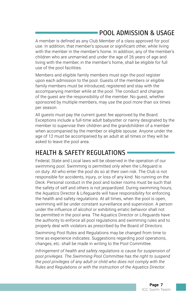## POOL ADMISSION & USAGE

A member is defined as any Club Member of a class approved for pool use. In addition, that member's spouse or significant other, while living with the member in the member's home. In addition, any of the member's children who are unmarried and under the age of 26 years of age and living with the member, in the member's home, shall be eligible for full use of the pool facilities.

Members and eligible family members must sign the pool register upon each admission to the pool. Guests of the members or eligible family members must be introduced, registered and stay with the accompanying member while at the pool. The conduct and charges of the guest are the responsibility of the member. No guest, whether sponsored by multiple members, may use the pool more than six times per season.

All guests must pay the current guest fee approved by the Board. Exceptions include a full-time adult babysitter or nanny designated by the member to supervise their children and the grandchildren of a member when accompanied by the member or eligible spouse. Anyone under the age of 12 must be accompanied by an adult at all times or they will be asked to leave the pool area.

#### HEALTH & SAFFTY REGULATIONS

Federal, State and Local laws will be observed in the operation of our swimming pool. Swimming is permitted only when the Lifeguard is on duty. All who enter the pool do so at their own risk. The Club is not responsible for accidents, injury, or loss of any kind. No running on the Deck. Personal conduct in the pool and locker rooms must be such that the safety of self and others is not jeopardized. During swimming hours, the Aquatics Director & Lifeguards will have responsibility for enforcing the health and safety regulations. At all times, when the pool is open, swimming will be under constant surveillance and supervision. A person under the influence of alcohol or exhibiting erratic behavior shall not be permitted in the pool area. The Aquatics Director or Lifeguards have the authority to enforce all pool regulations and swimming rules and to properly deal with violators as prescribed by the Board of Directors.

Swimming Pool Rules and Regulations may be changed from time to time as experience indicates. Suggestions regarding pool operations, changes, etc. shall be made in writing to the Pool Committee.

*Infringement of health and safety regulations is cause for suspension of pool privileges. The Swimming Pool Committee has the right to suspend the pool privileges of any adult or child who does not comply with the Rules and Regulations or with the instruction of the Aquatics Director.*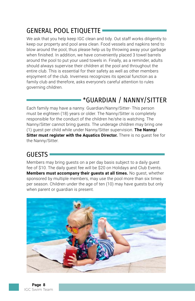## GENERAL POOL ETIQUETTE

We ask that you help keep IGC clean and tidy. Out staff works diligently to keep our property and pool area clean. Food vessels and napkins tend to blow around the pool, thus please help us by throwing away your garbage when finished. In addition, we have conveniently placed 3 towel barrels around the pool to put your used towels in. Finally, as a reminder, adults should always supervise their children at the pool and throughout the entire club. This is essential for their safety as well as other members enjoyment of the club. Inverness recognizes its special function as a family club and therefore, asks everyone's careful attention to rules governing children.

## \*GUARDIAN / NANNY/SITTER

Each family may have a nanny. Guardian/Nanny/Sitter- This person must be eighteen (18) years or older. The Nanny/Sitter is completely responsible for the conduct of the children he/she is watching. The Nanny/Sitter cannot bring guests. The underage children may bring one (1) guest per child while under Nanny/Sitter supervision. **The Nanny/ Sitter must register with the Aquatics Director.** There is no guest fee for the Nanny/Sitter.

## GUESTS

Members may bring guests on a per day basis subject to a daily guest fee of \$10. The daily guest fee will be \$20 on Holidays and Club Events. **Members must accompany their guests at all times.** No guest, whether sponsored by multiple members, may use the pool more than six times per season. Children under the age of ten (10) may have guests but only when parent or guardian is present.

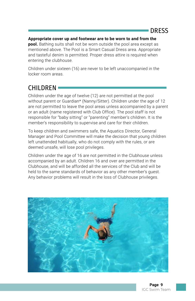#### **Appropriate cover up and footwear are to be worn to and from the**

**pool.** Bathing suits shall not be worn outside the pool area except as mentioned above. The Pool is a Smart Casual Dress area. Appropriate and tasteful denim is permitted. Proper dress attire is required when entering the clubhouse.

Children under sixteen (16) are never to be left unaccompanied in the locker room areas.

## CHILDREN<sup>=</sup>

Children under the age of twelve (12) are not permitted at the pool without parent or Guardian\* (Nanny/Sitter). Children under the age of 12 are not permitted to leave the pool areas unless accompanied by a parent or an adult (name registered with Club Office). The pool staff is not responsible for "baby sitting" or "parenting" member's children. It is the member's responsibility to supervise and care for their children.

To keep children and swimmers safe, the Aquatics Director, General Manager and Pool Committee will make the decision that young children left unattended habitually, who do not comply with the rules, or are deemed unsafe, will lose pool privileges.

Children under the age of 16 are not permitted in the Clubhouse unless accompanied by an adult. Children 16 and over are permitted in the Clubhouse, and will be afforded all the services of the Club and will be held to the same standards of behavior as any other member's quest. Any behavior problems will result in the loss of Clubhouse privileges.

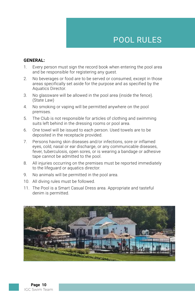## POOL RULES

#### **GENERAL:**

- 1. Every person must sign the record book when entering the pool area and be responsible for registering any guest.
- 2. No beverages or food are to be served or consumed, except in those areas specifically set aside for the purpose and as specified by the Aquatics Director.
- 3. No glassware will be allowed in the pool area (inside the fence). (State Law)
- 4. No smoking or vaping will be permitted anywhere on the pool premises.
- 5. The Club is not responsible for articles of clothing and swimming suits left behind in the dressing rooms or pool area.
- 6. One towel will be issued to each person. Used towels are to be deposited in the receptacle provided.
- 7. Persons having skin diseases and/or infections, sore or inflamed eyes, cold, nasal or ear discharge, or any communicable diseases, fever, tuberculosis, open sores, or is wearing a bandage or adhesive tape cannot be admitted to the pool.
- 8. All injuries occurring on the premises must be reported immediately to the lifeguard or aquatics director.
- 9. No animals will be permitted in the pool area.
- 10. All diving rules must be followed.
- 11. The Pool is a Smart Casual Dress area. Appropriate and tasteful denim is permitted.

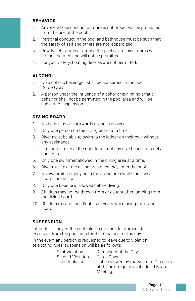#### **BEHAVIOR**

- 1. Anyone whose conduct or attire is not proper will be prohibited from the use of the pool.
- 2. Personal conduct in the pool and bathhouse must be such that the safety of self and others are not jeopardized.
- 3. Rowdy behavior in or around the pool or dressing rooms will not be tolerated and will not be permitted.
- 4. For your safety, floating devices are not permitted.

#### **ALCOHOL**

- 1. No alcoholic beverages shall be consumed in the pool. (State Law)
- 2. A person under the influence of alcohol or exhibiting erratic behavior shall not be permitted in the pool area and will be subject to suspension.

#### **DIVING BOARD**

- 1. No back flips or backwards diving is allowed.
- 2. Only one person on the diving board at a time.
- 3. Diver must be able to swim to the ladder on their own without any assistance.
- 4. Lifeguards reserve the right to restrict any dive based on safety concerns.
- 5. Only one swimmer allowed in the diving area at a time.
- 6. Diver must exit the diving area once they enter the pool.
- 7. No swimming or playing in the diving area while the diving boards are in use.
- 8. Only one bounce is allowed before diving.
- 9. Children may not be thrown from or caught after jumping from the diving board.
- 10. Children may not use floaties or vests when using the diving board.

#### **SUSPENSION**

Infraction of any of the pool rules is grounds for immediate expulsion from the pool area for the remainder of the day.

In the event any person is requested to leave due to violation of existing rules, suspension will be as follows:

| First Violation  | Remainder of the Day                     |
|------------------|------------------------------------------|
| Second Violation | Three Days                               |
| Third Violation  | Until reviewed by the Board of Directors |
|                  | at the next regularly scheduled Board    |
|                  | Meeting.                                 |

**Page 11** IGC Swim Team